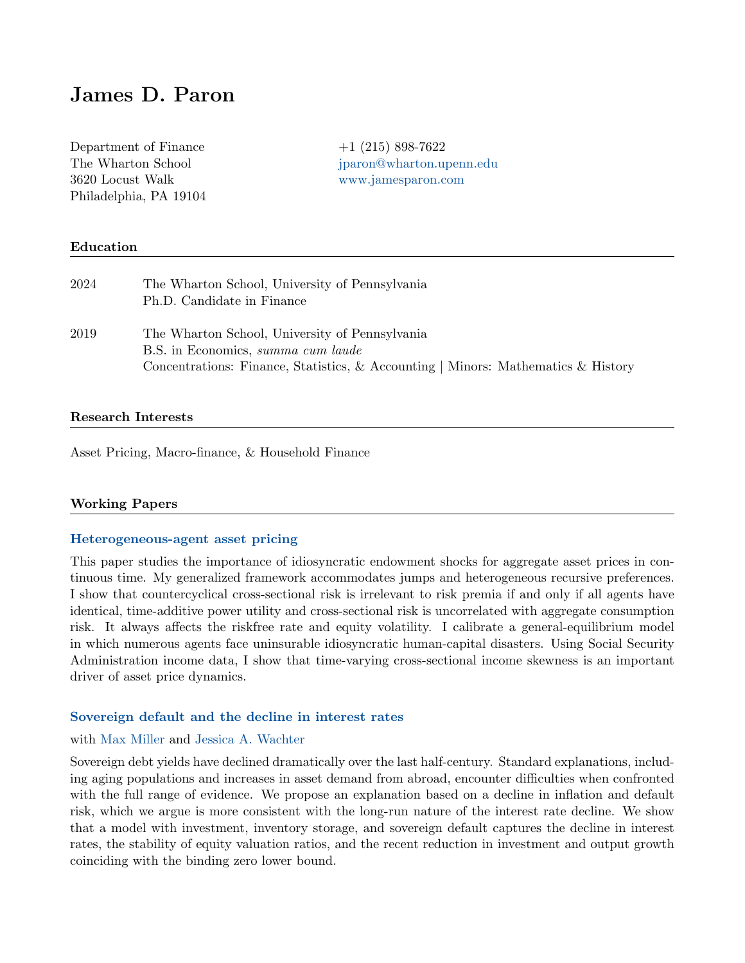# James D. Paron

Department of Finance  $+1$  (215) 898-7622 3620 Locust Walk [www.jamesparon.com](https://jamesparon.com) Philadelphia, PA 19104

The Wharton School intervals is a subset of the Wharton School intervals in the Wharton Library of the Wharton School intervals in the Wharton School intervals in the Wharton School intervals in the Wharton School interval

## Education

| 2024 | The Wharton School, University of Pennsylvania<br>Ph.D. Candidate in Finance                                                                                              |
|------|---------------------------------------------------------------------------------------------------------------------------------------------------------------------------|
| 2019 | The Wharton School, University of Pennsylvania<br>B.S. in Economics, summa cum laude<br>Concentrations: Finance, Statistics, & Accounting   Minors: Mathematics & History |

### Research Interests

Asset Pricing, Macro-finance, & Household Finance

### Working Papers

## [Heterogeneous-agent asset pricing](https://papers.ssrn.com/sol3/papers.cfm?abstract_id=3807456)

This paper studies the importance of idiosyncratic endowment shocks for aggregate asset prices in continuous time. My generalized framework accommodates jumps and heterogeneous recursive preferences. I show that countercyclical cross-sectional risk is irrelevant to risk premia if and only if all agents have identical, time-additive power utility and cross-sectional risk is uncorrelated with aggregate consumption risk. It always affects the riskfree rate and equity volatility. I calibrate a general-equilibrium model in which numerous agents face uninsurable idiosyncratic human-capital disasters. Using Social Security Administration income data, I show that time-varying cross-sectional income skewness is an important driver of asset price dynamics.

## [Sovereign default and the decline in interest rates](https://papers.ssrn.com/sol3/papers.cfm?abstract_id=3641568)

#### with [Max Miller](https://www.max-miller.finance) and [Jessica A. Wachter](http://finance.wharton.upenn.edu/~jwachter/)

Sovereign debt yields have declined dramatically over the last half-century. Standard explanations, including aging populations and increases in asset demand from abroad, encounter difficulties when confronted with the full range of evidence. We propose an explanation based on a decline in inflation and default risk, which we argue is more consistent with the long-run nature of the interest rate decline. We show that a model with investment, inventory storage, and sovereign default captures the decline in interest rates, the stability of equity valuation ratios, and the recent reduction in investment and output growth coinciding with the binding zero lower bound.